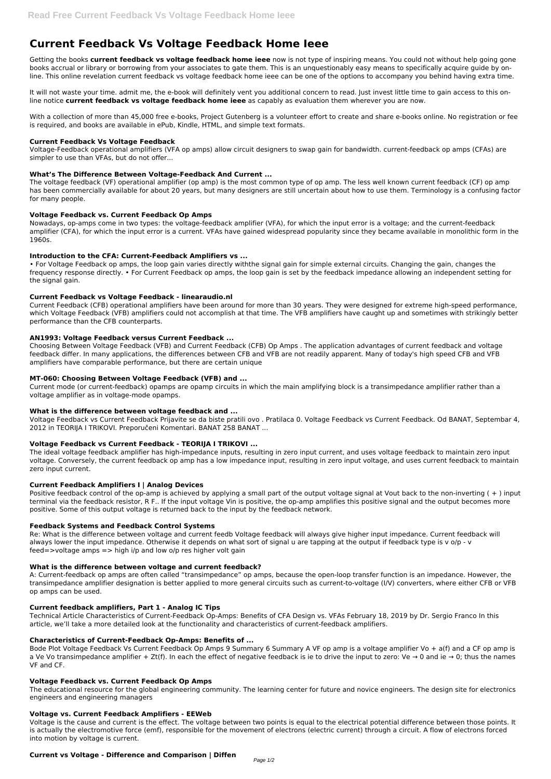# **Current Feedback Vs Voltage Feedback Home Ieee**

Getting the books **current feedback vs voltage feedback home ieee** now is not type of inspiring means. You could not without help going gone books accrual or library or borrowing from your associates to gate them. This is an unquestionably easy means to specifically acquire guide by online. This online revelation current feedback vs voltage feedback home ieee can be one of the options to accompany you behind having extra time.

It will not waste your time. admit me, the e-book will definitely vent you additional concern to read. Just invest little time to gain access to this online notice **current feedback vs voltage feedback home ieee** as capably as evaluation them wherever you are now.

With a collection of more than 45,000 free e-books, Project Gutenberg is a volunteer effort to create and share e-books online. No registration or fee is required, and books are available in ePub, Kindle, HTML, and simple text formats.

• For Voltage Feedback op amps, the loop gain varies directly withthe signal gain for simple external circuits. Changing the gain, changes the frequency response directly. • For Current Feedback op amps, the loop gain is set by the feedback impedance allowing an independent setting for the signal gain.

### **Current Feedback Vs Voltage Feedback**

Voltage-Feedback operational amplifiers (VFA op amps) allow circuit designers to swap gain for bandwidth. current-feedback op amps (CFAs) are simpler to use than VFAs, but do not offer...

# **What's The Difference Between Voltage-Feedback And Current ...**

The voltage feedback (VF) operational amplifier (op amp) is the most common type of op amp. The less well known current feedback (CF) op amp has been commercially available for about 20 years, but many designers are still uncertain about how to use them. Terminology is a confusing factor for many people.

# **Voltage Feedback vs. Current Feedback Op Amps**

Nowadays, op-amps come in two types: the voltage-feedback amplifier (VFA), for which the input error is a voltage; and the current-feedback amplifier (CFA), for which the input error is a current. VFAs have gained widespread popularity since they became available in monolithic form in the 1960s.

# **Introduction to the CFA: Current-Feedback Amplifiers vs ...**

Positive feedback control of the op-amp is achieved by applying a small part of the output voltage signal at Vout back to the non-inverting  $(+)$  input terminal via the feedback resistor, R F.. If the input voltage Vin is positive, the op-amp amplifies this positive signal and the output becomes more positive. Some of this output voltage is returned back to the input by the feedback network.

Re: What is the difference between voltage and current feedb Voltage feedback will always give higher input impedance. Current feedback will always lower the input impedance. Otherwise it depends on what sort of signal u are tapping at the output if feedback type is v o/p - v feed=>voltage amps => high i/p and low  $o/p$  res higher volt gain

# **Current Feedback vs Voltage Feedback - linearaudio.nl**

Current Feedback (CFB) operational amplifiers have been around for more than 30 years. They were designed for extreme high-speed performance, which Voltage Feedback (VFB) amplifiers could not accomplish at that time. The VFB amplifiers have caught up and sometimes with strikingly better performance than the CFB counterparts.

### **AN1993: Voltage Feedback versus Current Feedback ...**

Choosing Between Voltage Feedback (VFB) and Current Feedback (CFB) Op Amps . The application advantages of current feedback and voltage feedback differ. In many applications, the differences between CFB and VFB are not readily apparent. Many of today's high speed CFB and VFB amplifiers have comparable performance, but there are certain unique

### **MT-060: Choosing Between Voltage Feedback (VFB) and ...**

Current mode (or current-feedback) opamps are opamp circuits in which the main amplifying block is a transimpedance amplifier rather than a voltage amplifier as in voltage-mode opamps.

### **What is the difference between voltage feedback and ...**

Voltage Feedback vs Current Feedback Prijavite se da biste pratili ovo . Pratilaca 0. Voltage Feedback vs Current Feedback. Od BANAT, Septembar 4, 2012 in TEORIJA I TRIKOVI. Preporučeni Komentari. BANAT 258 BANAT ...

### **Voltage Feedback vs Current Feedback - TEORIJA I TRIKOVI ...**

The ideal voltage feedback amplifier has high-impedance inputs, resulting in zero input current, and uses voltage feedback to maintain zero input voltage. Conversely, the current feedback op amp has a low impedance input, resulting in zero input voltage, and uses current feedback to maintain zero input current.

### **Current Feedback Amplifiers I | Analog Devices**

### **Feedback Systems and Feedback Control Systems**

### **What is the difference between voltage and current feedback?**

A: Current-feedback op amps are often called "transimpedance" op amps, because the open-loop transfer function is an impedance. However, the transimpedance amplifier designation is better applied to more general circuits such as current-to-voltage (I/V) converters, where either CFB or VFB

op amps can be used.

#### **Current feedback amplifiers, Part 1 - Analog IC Tips**

Technical Article Characteristics of Current-Feedback Op-Amps: Benefits of CFA Design vs. VFAs February 18, 2019 by Dr. Sergio Franco In this article, we'll take a more detailed look at the functionality and characteristics of current-feedback amplifiers.

#### **Characteristics of Current-Feedback Op-Amps: Benefits of ...**

Bode Plot Voltage Feedback Vs Current Feedback Op Amps 9 Summary 6 Summary A VF op amp is a voltage amplifier Vo + a(f) and a CF op amp is a Ve Vo transimpedance amplifier + Zt(f). In each the effect of negative feedback is ie to drive the input to zero: Ve  $\rightarrow$  0 and ie  $\rightarrow$  0; thus the names VF and CF.

#### **Voltage Feedback vs. Current Feedback Op Amps**

The educational resource for the global engineering community. The learning center for future and novice engineers. The design site for electronics engineers and engineering managers

#### **Voltage vs. Current Feedback Amplifiers - EEWeb**

Voltage is the cause and current is the effect. The voltage between two points is equal to the electrical potential difference between those points. It is actually the electromotive force (emf), responsible for the movement of electrons (electric current) through a circuit. A flow of electrons forced into motion by voltage is current.

#### **Current vs Voltage - Difference and Comparison | Diffen**